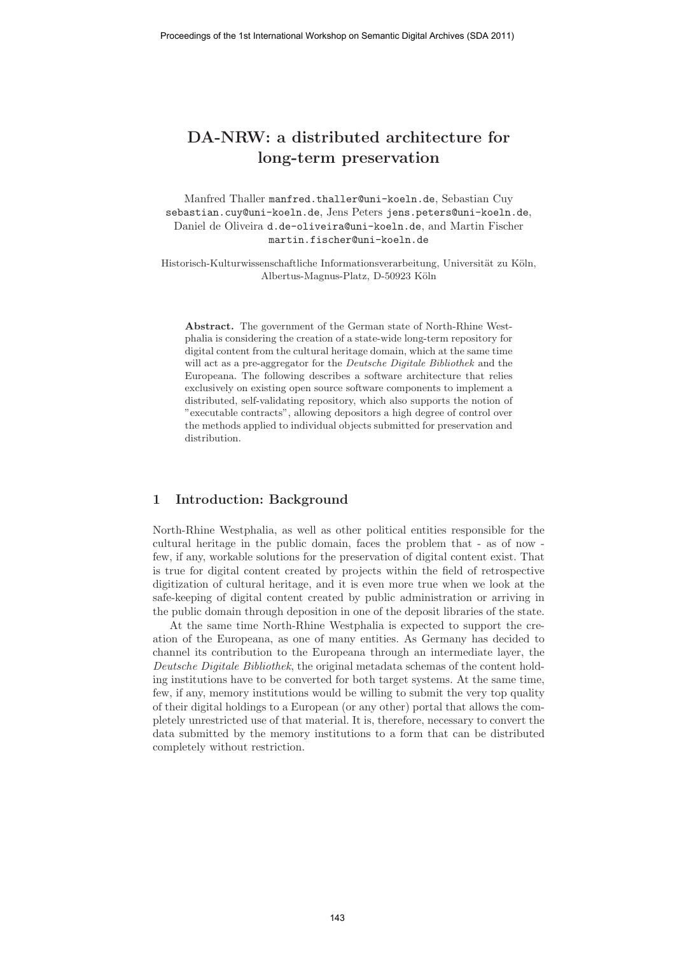# **DA-NRW: a distributed architecture for long-term preservation**

Manfred Thaller manfred.thaller@uni-koeln.de, Sebastian Cuy sebastian.cuy@uni-koeln.de, Jens Peters jens.peters@uni-koeln.de, Daniel de Oliveira d.de-oliveira@uni-koeln.de, and Martin Fischer martin.fischer@uni-koeln.de

Historisch-Kulturwissenschaftliche Informationsverarbeitung, Universität zu Köln, Albertus-Magnus-Platz, D-50923 Köln

**Abstract.** The government of the German state of North-Rhine Westphalia is considering the creation of a state-wide long-term repository for digital content from the cultural heritage domain, which at the same time will act as a pre-aggregator for the Deutsche Digitale Bibliothek and the Europeana. The following describes a software architecture that relies exclusively on existing open source software components to implement a distributed, self-validating repository, which also supports the notion of "executable contracts", allowing depositors a high degree of control over the methods applied to individual objects submitted for preservation and distribution.

#### **1 Introduction: Background**

North-Rhine Westphalia, as well as other political entities responsible for the cultural heritage in the public domain, faces the problem that - as of now few, if any, workable solutions for the preservation of digital content exist. That is true for digital content created by projects within the field of retrospective digitization of cultural heritage, and it is even more true when we look at the safe-keeping of digital content created by public administration or arriving in the public domain through deposition in one of the deposit libraries of the state.

At the same time North-Rhine Westphalia is expected to support the creation of the Europeana, as one of many entities. As Germany has decided to channel its contribution to the Europeana through an intermediate layer, the Deutsche Digitale Bibliothek, the original metadata schemas of the content holding institutions have to be converted for both target systems. At the same time, few, if any, memory institutions would be willing to submit the very top quality of their digital holdings to a European (or any other) portal that allows the completely unrestricted use of that material. It is, therefore, necessary to convert the data submitted by the memory institutions to a form that can be distributed completely without restriction.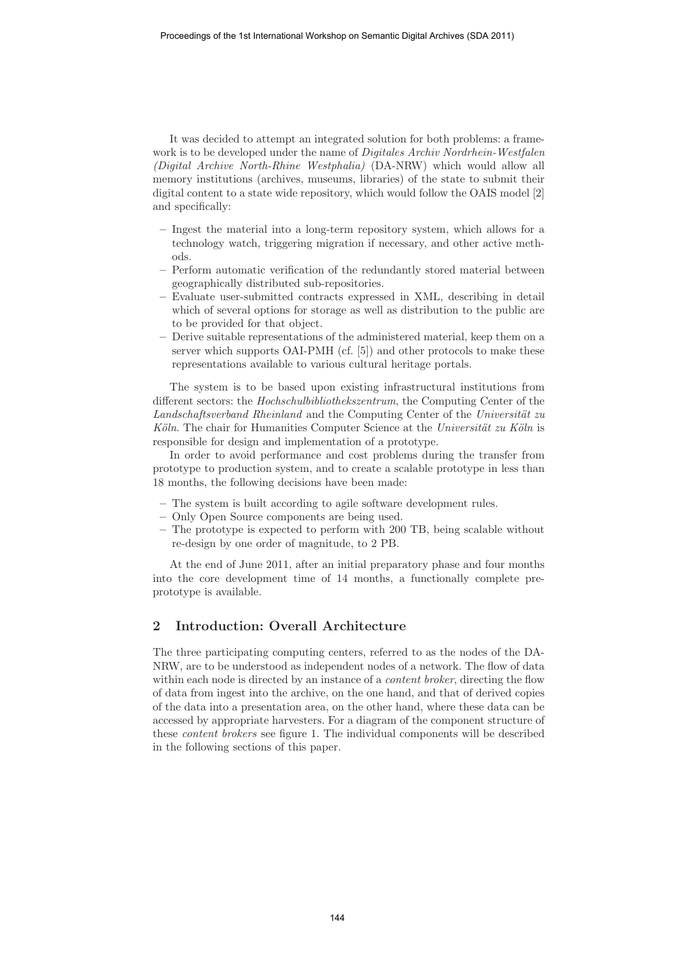It was decided to attempt an integrated solution for both problems: a framework is to be developed under the name of *Digitales Archiv Nordrhein-Westfalen* (Digital Archive North-Rhine Westphalia) (DA-NRW) which would allow all memory institutions (archives, museums, libraries) of the state to submit their digital content to a state wide repository, which would follow the OAIS model [2] and specifically:

- **–** Ingest the material into a long-term repository system, which allows for a technology watch, triggering migration if necessary, and other active methods.
- **–** Perform automatic verification of the redundantly stored material between geographically distributed sub-repositories.
- **–** Evaluate user-submitted contracts expressed in XML, describing in detail which of several options for storage as well as distribution to the public are to be provided for that object.
- **–** Derive suitable representations of the administered material, keep them on a server which supports OAI-PMH (cf. [5]) and other protocols to make these representations available to various cultural heritage portals.

The system is to be based upon existing infrastructural institutions from different sectors: the Hochschulbibliothekszentrum, the Computing Center of the Landschaftsverband Rheinland and the Computing Center of the Universität zu  $K\ddot{o}ln$ . The chair for Humanities Computer Science at the Universität zu Köln is responsible for design and implementation of a prototype.

In order to avoid performance and cost problems during the transfer from prototype to production system, and to create a scalable prototype in less than 18 months, the following decisions have been made:

- **–** The system is built according to agile software development rules.
- **–** Only Open Source components are being used.
- **–** The prototype is expected to perform with 200 TB, being scalable without re-design by one order of magnitude, to 2 PB.

At the end of June 2011, after an initial preparatory phase and four months into the core development time of 14 months, a functionally complete preprototype is available.

### **2 Introduction: Overall Architecture**

The three participating computing centers, referred to as the nodes of the DA-NRW, are to be understood as independent nodes of a network. The flow of data within each node is directed by an instance of a *content broker*, directing the flow of data from ingest into the archive, on the one hand, and that of derived copies of the data into a presentation area, on the other hand, where these data can be accessed by appropriate harvesters. For a diagram of the component structure of these content brokers see figure 1. The individual components will be described in the following sections of this paper.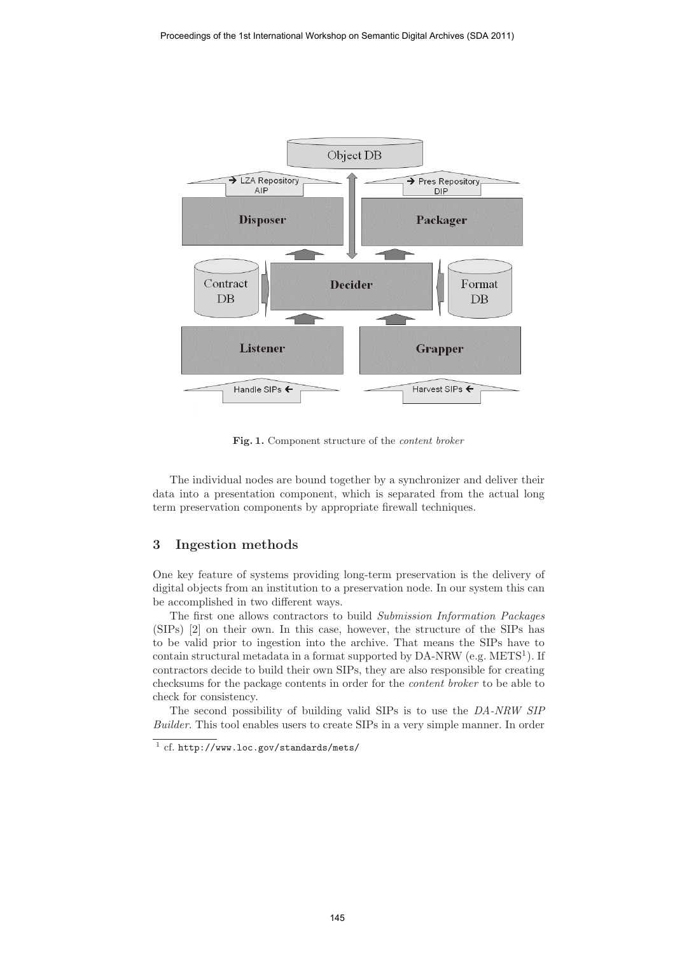

Fig. 1. Component structure of the *content broker* 

The individual nodes are bound together by a synchronizer and deliver their data into a presentation component, which is separated from the actual long term preservation components by appropriate firewall techniques.

# **3 Ingestion methods**

One key feature of systems providing long-term preservation is the delivery of digital objects from an institution to a preservation node. In our system this can be accomplished in two different ways.

The first one allows contractors to build Submission Information Packages (SIPs) [2] on their own. In this case, however, the structure of the SIPs has to be valid prior to ingestion into the archive. That means the SIPs have to contain structural metadata in a format supported by  $DA-NRW$  (e.g.  $METS<sup>1</sup>$ ). If contractors decide to build their own SIPs, they are also responsible for creating checksums for the package contents in order for the content broker to be able to check for consistency.

The second possibility of building valid SIPs is to use the DA-NRW SIP Builder. This tool enables users to create SIPs in a very simple manner. In order

 $\frac{1}{1}$  cf. http://www.loc.gov/standards/mets/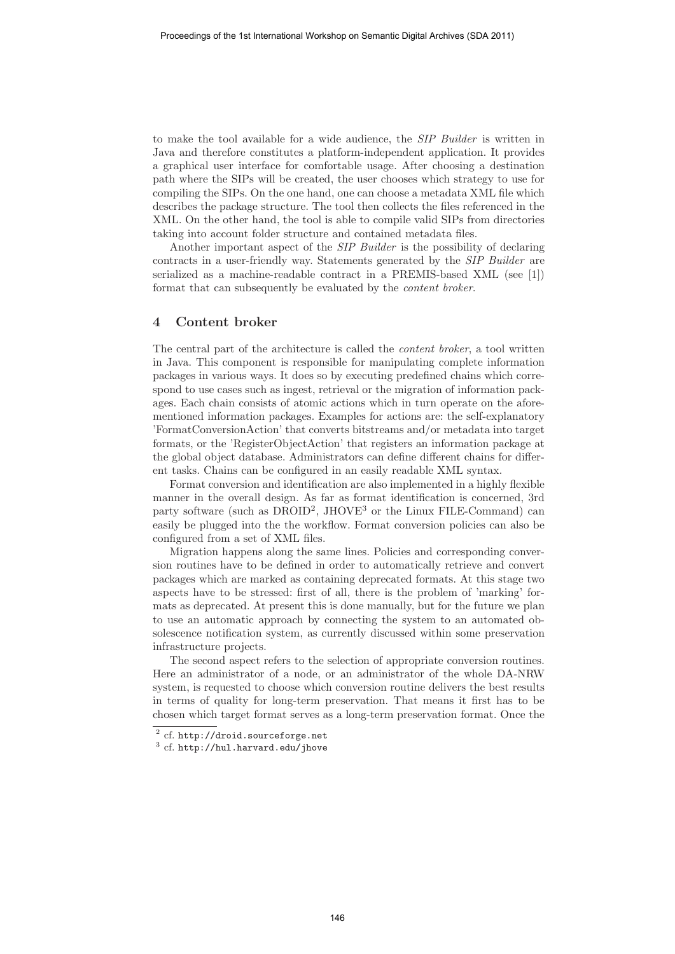to make the tool available for a wide audience, the SIP Builder is written in Java and therefore constitutes a platform-independent application. It provides a graphical user interface for comfortable usage. After choosing a destination path where the SIPs will be created, the user chooses which strategy to use for compiling the SIPs. On the one hand, one can choose a metadata XML file which describes the package structure. The tool then collects the files referenced in the XML. On the other hand, the tool is able to compile valid SIPs from directories taking into account folder structure and contained metadata files.

Another important aspect of the SIP Builder is the possibility of declaring contracts in a user-friendly way. Statements generated by the SIP Builder are serialized as a machine-readable contract in a PREMIS-based XML (see [1]) format that can subsequently be evaluated by the content broker.

#### **4 Content broker**

The central part of the architecture is called the content broker, a tool written in Java. This component is responsible for manipulating complete information packages in various ways. It does so by executing predefined chains which correspond to use cases such as ingest, retrieval or the migration of information packages. Each chain consists of atomic actions which in turn operate on the aforementioned information packages. Examples for actions are: the self-explanatory 'FormatConversionAction' that converts bitstreams and/or metadata into target formats, or the 'RegisterObjectAction' that registers an information package at the global object database. Administrators can define different chains for different tasks. Chains can be configured in an easily readable XML syntax.

Format conversion and identification are also implemented in a highly flexible manner in the overall design. As far as format identification is concerned, 3rd party software (such as  $DROID^2$ , JHOVE<sup>3</sup> or the Linux FILE-Command) can easily be plugged into the the workflow. Format conversion policies can also be configured from a set of XML files.

Migration happens along the same lines. Policies and corresponding conversion routines have to be defined in order to automatically retrieve and convert packages which are marked as containing deprecated formats. At this stage two aspects have to be stressed: first of all, there is the problem of 'marking' formats as deprecated. At present this is done manually, but for the future we plan to use an automatic approach by connecting the system to an automated obsolescence notification system, as currently discussed within some preservation infrastructure projects.

The second aspect refers to the selection of appropriate conversion routines. Here an administrator of a node, or an administrator of the whole DA-NRW system, is requested to choose which conversion routine delivers the best results in terms of quality for long-term preservation. That means it first has to be chosen which target format serves as a long-term preservation format. Once the

<sup>2</sup> cf. http://droid.sourceforge.net

 $3$  cf. http://hul.harvard.edu/jhove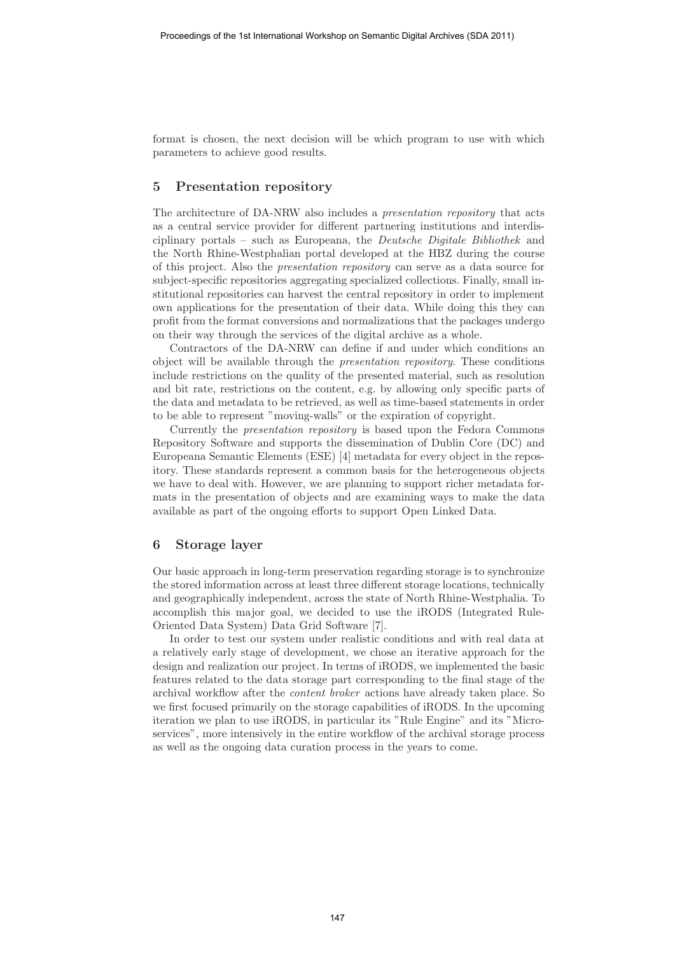format is chosen, the next decision will be which program to use with which parameters to achieve good results.

## **5 Presentation repository**

The architecture of DA-NRW also includes a presentation repository that acts as a central service provider for different partnering institutions and interdisciplinary portals – such as Europeana, the Deutsche Digitale Bibliothek and the North Rhine-Westphalian portal developed at the HBZ during the course of this project. Also the presentation repository can serve as a data source for subject-specific repositories aggregating specialized collections. Finally, small institutional repositories can harvest the central repository in order to implement own applications for the presentation of their data. While doing this they can profit from the format conversions and normalizations that the packages undergo on their way through the services of the digital archive as a whole.

Contractors of the DA-NRW can define if and under which conditions an object will be available through the presentation repository. These conditions include restrictions on the quality of the presented material, such as resolution and bit rate, restrictions on the content, e.g. by allowing only specific parts of the data and metadata to be retrieved, as well as time-based statements in order to be able to represent "moving-walls" or the expiration of copyright.

Currently the presentation repository is based upon the Fedora Commons Repository Software and supports the dissemination of Dublin Core (DC) and Europeana Semantic Elements (ESE) [4] metadata for every object in the repository. These standards represent a common basis for the heterogeneous objects we have to deal with. However, we are planning to support richer metadata formats in the presentation of objects and are examining ways to make the data available as part of the ongoing efforts to support Open Linked Data.

#### **6 Storage layer**

Our basic approach in long-term preservation regarding storage is to synchronize the stored information across at least three different storage locations, technically and geographically independent, across the state of North Rhine-Westphalia. To accomplish this major goal, we decided to use the iRODS (Integrated Rule-Oriented Data System) Data Grid Software [7].

In order to test our system under realistic conditions and with real data at a relatively early stage of development, we chose an iterative approach for the design and realization our project. In terms of iRODS, we implemented the basic features related to the data storage part corresponding to the final stage of the archival workflow after the content broker actions have already taken place. So we first focused primarily on the storage capabilities of iRODS. In the upcoming iteration we plan to use iRODS, in particular its "Rule Engine" and its "Microservices", more intensively in the entire workflow of the archival storage process as well as the ongoing data curation process in the years to come.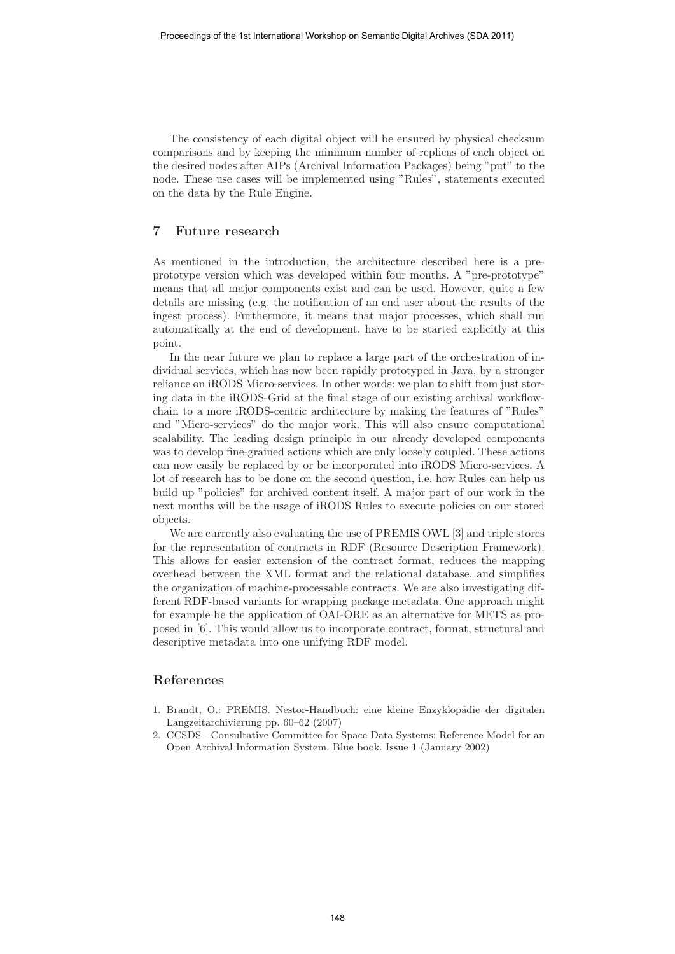The consistency of each digital object will be ensured by physical checksum comparisons and by keeping the minimum number of replicas of each object on the desired nodes after AIPs (Archival Information Packages) being "put" to the node. These use cases will be implemented using "Rules", statements executed on the data by the Rule Engine.

### **7 Future research**

As mentioned in the introduction, the architecture described here is a preprototype version which was developed within four months. A "pre-prototype" means that all major components exist and can be used. However, quite a few details are missing (e.g. the notification of an end user about the results of the ingest process). Furthermore, it means that major processes, which shall run automatically at the end of development, have to be started explicitly at this point.

In the near future we plan to replace a large part of the orchestration of individual services, which has now been rapidly prototyped in Java, by a stronger reliance on iRODS Micro-services. In other words: we plan to shift from just storing data in the iRODS-Grid at the final stage of our existing archival workflowchain to a more iRODS-centric architecture by making the features of "Rules" and "Micro-services" do the major work. This will also ensure computational scalability. The leading design principle in our already developed components was to develop fine-grained actions which are only loosely coupled. These actions can now easily be replaced by or be incorporated into iRODS Micro-services. A lot of research has to be done on the second question, i.e. how Rules can help us build up "policies" for archived content itself. A major part of our work in the next months will be the usage of iRODS Rules to execute policies on our stored objects.

We are currently also evaluating the use of PREMIS OWL [3] and triple stores for the representation of contracts in RDF (Resource Description Framework). This allows for easier extension of the contract format, reduces the mapping overhead between the XML format and the relational database, and simplifies the organization of machine-processable contracts. We are also investigating different RDF-based variants for wrapping package metadata. One approach might for example be the application of OAI-ORE as an alternative for METS as proposed in [6]. This would allow us to incorporate contract, format, structural and descriptive metadata into one unifying RDF model.

#### **References**

- 1. Brandt, O.: PREMIS. Nestor-Handbuch: eine kleine Enzyklopädie der digitalen Langzeitarchivierung pp. 60–62 (2007)
- 2. CCSDS Consultative Committee for Space Data Systems: Reference Model for an Open Archival Information System. Blue book. Issue 1 (January 2002)